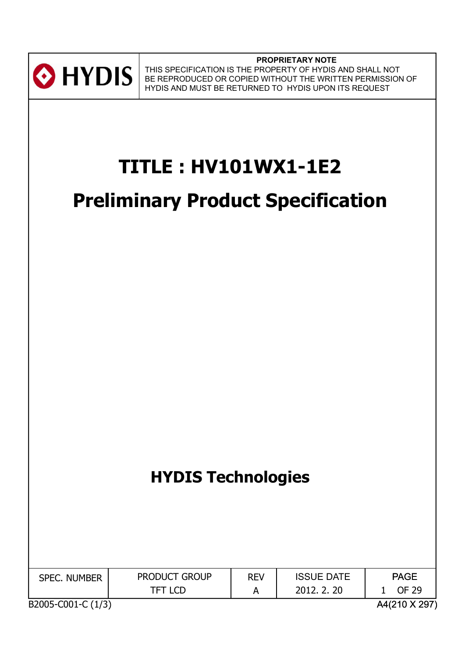

**PROPRIETARY NOTE** THIS SPECIFICATION IS THE PROPERTY OF HYDIS AND SHALL NOT BE REPRODUCED OR COPIED WITHOUT THE WRITTEN PERMISSION OF HYDIS AND MUST BE RETURNED TO HYDIS UPON ITS REQUEST

# **TITLE : HV101WX1-1E2**

# **Preliminary Product Specification**

# **HYDIS Technologies**

| <b>SPEC. NUMBER</b> | <b>PRODUCT GROUP</b> | <b>REV</b> | <b>ISSUE DATE</b> | <b>PAGE</b>   |
|---------------------|----------------------|------------|-------------------|---------------|
|                     | <b>TFT LCD</b>       |            | 2012, 2, 20       | OF 29         |
| B2005-C001-C (1/3)  |                      |            |                   | A4(210 X 297) |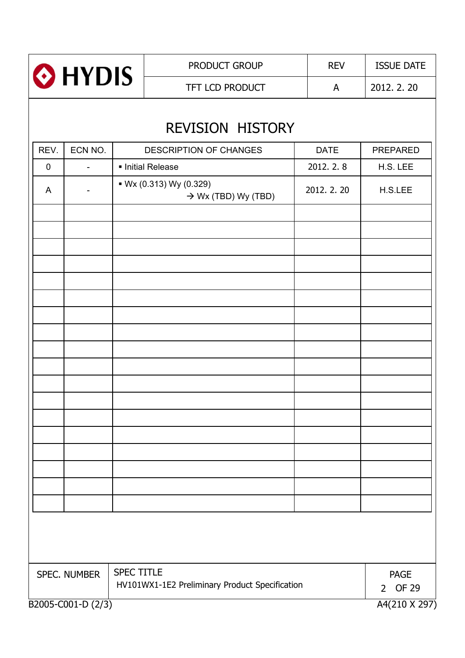|      | HYDIS <sup>®</sup>                                                                  |  | PRODUCT GROUP                                              |  | <b>REV</b>  | <b>ISSUE DATE</b> |  |  |
|------|-------------------------------------------------------------------------------------|--|------------------------------------------------------------|--|-------------|-------------------|--|--|
|      |                                                                                     |  | TFT LCD PRODUCT                                            |  | A           | 2012. 2. 20       |  |  |
|      |                                                                                     |  | <b>REVISION HISTORY</b>                                    |  |             |                   |  |  |
| REV. | ECN NO.                                                                             |  | <b>DESCRIPTION OF CHANGES</b>                              |  | <b>DATE</b> | <b>PREPARED</b>   |  |  |
| 0    | $\overline{\phantom{a}}$                                                            |  | Initial Release                                            |  | 2012. 2. 8  | H.S. LEE          |  |  |
| A    | $\overline{\phantom{a}}$                                                            |  | • Wx (0.313) Wy (0.329)<br>$\rightarrow$ Wx (TBD) Wy (TBD) |  | 2012. 2. 20 | H.S.LEE           |  |  |
|      |                                                                                     |  |                                                            |  |             |                   |  |  |
|      |                                                                                     |  |                                                            |  |             |                   |  |  |
|      |                                                                                     |  |                                                            |  |             |                   |  |  |
|      |                                                                                     |  |                                                            |  |             |                   |  |  |
|      |                                                                                     |  |                                                            |  |             |                   |  |  |
|      |                                                                                     |  |                                                            |  |             |                   |  |  |
|      |                                                                                     |  |                                                            |  |             |                   |  |  |
|      |                                                                                     |  |                                                            |  |             |                   |  |  |
|      | <b>SPEC TITLE</b><br>SPEC. NUMBER<br>HV101WX1-1E2 Preliminary Product Specification |  |                                                            |  |             |                   |  |  |
|      | A4(210 X 297)<br>B2005-C001-D (2/3)                                                 |  |                                                            |  |             |                   |  |  |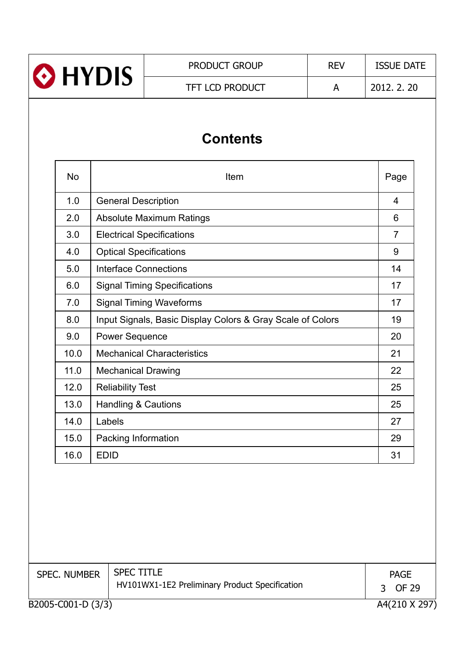

PRODUCT GROUP REV ISSUE DATE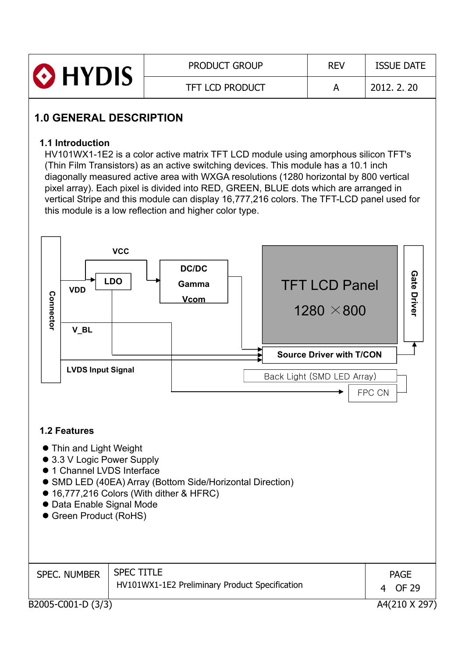| <b>O</b> HYDIS | <b>PRODUCT GROUP</b>   | <b>REV</b> | <b>ISSUE DATE</b> |
|----------------|------------------------|------------|-------------------|
|                | <b>TFT LCD PRODUCT</b> |            | 2012. 2. 20       |

# **1.0 GENERAL DESCRIPTION**

#### **1.1 Introduction**

HV101WX1-1E2 is a color active matrix TFT LCD module using amorphous silicon TFT's (Thin Film Transistors) as an active switching devices. This module has a 10.1 inch diagonally measured active area with WXGA resolutions (1280 horizontal by 800 vertical pixel array). Each pixel is divided into RED, GREEN, BLUE dots which are arranged in vertical Stripe and this module can display 16,777,216 colors. The TFT-LCD panel used for this module is a low reflection and higher color type.

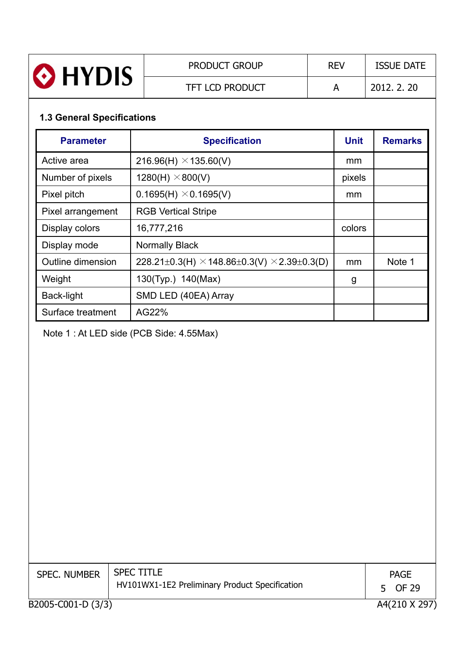| HYDIS | <b>PRODUCT GROUP</b>   | <b>REV</b> | <b>ISSUE DATE</b> |
|-------|------------------------|------------|-------------------|
|       | <b>TFT LCD PRODUCT</b> |            | 2012, 2, 20       |

# **1.3 General Specifications**

| <b>Parameter</b>  | <b>Specification</b>                                      | <b>Unit</b> | <b>Remarks</b> |
|-------------------|-----------------------------------------------------------|-------------|----------------|
| Active area       | 216.96(H) $\times$ 135.60(V)                              | mm          |                |
| Number of pixels  | $1280(H) \times 800(V)$                                   | pixels      |                |
| Pixel pitch       | $0.1695(H) \times 0.1695(V)$                              | mm          |                |
| Pixel arrangement | <b>RGB Vertical Stripe</b>                                |             |                |
| Display colors    | 16,777,216                                                | colors      |                |
| Display mode      | <b>Normally Black</b>                                     |             |                |
| Outline dimension | 228.21±0.3(H) $\times$ 148.86±0.3(V) $\times$ 2.39±0.3(D) | mm          | Note 1         |
| Weight            | 130(Typ.) 140(Max)                                        | g           |                |
| Back-light        | SMD LED (40EA) Array                                      |             |                |
| Surface treatment | AG22%                                                     |             |                |

Note 1 : At LED side (PCB Side: 4.55Max)

| <b>SPEC. NUMBER</b> | <b>SPEC TITLE</b><br>HV101WX1-1E2 Preliminary Product Specification | <b>PAGE</b><br>5 OF 29 |
|---------------------|---------------------------------------------------------------------|------------------------|
| B2005-C001-D (3/3)  |                                                                     | A4(210 X 297           |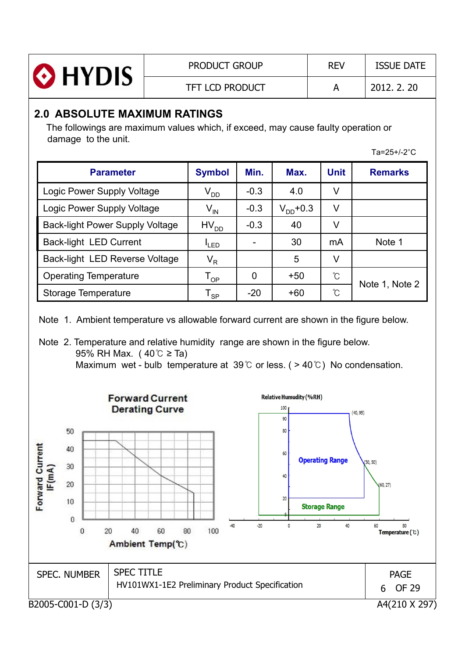| <b>O</b> HYDIS | <b>PRODUCT GROUP</b>   | <b>RFV</b> | <b>ISSUE DATE</b> |
|----------------|------------------------|------------|-------------------|
|                | <b>TFT LCD PRODUCT</b> |            | 2012, 2, 20       |

## **2.0 ABSOLUTE MAXIMUM RATINGS**

The followings are maximum values which, if exceed, may cause faulty operation or damage to the unit.

 $Ta=25+/-2°C$ 

| <b>Parameter</b>                       | <b>Symbol</b>              | Min.         | Max.          | <b>Unit</b> | <b>Remarks</b> |
|----------------------------------------|----------------------------|--------------|---------------|-------------|----------------|
| Logic Power Supply Voltage             | $\rm V_{DD}$               | $-0.3$       | 4.0           | V           |                |
| Logic Power Supply Voltage             | $\mathsf{V}_{\mathsf{IN}}$ | $-0.3$       | $V_{DD}$ +0.3 | V           |                |
| <b>Back-light Power Supply Voltage</b> | HV <sub>DD</sub>           | $-0.3$       | 40            | V           |                |
| Back-light LED Current                 | <sup>I</sup> LED           |              | 30            | mA          | Note 1         |
| Back-light LED Reverse Voltage         | $V_R$                      |              | 5             | V           |                |
| <b>Operating Temperature</b>           | $\mathsf{T}_{\mathsf{OP}}$ | $\mathbf{0}$ | $+50$         | °C          |                |
| Storage Temperature                    | $\mathsf{T}_{\mathsf{SP}}$ | $-20$        | $+60$         | °C          | Note 1, Note 2 |

Note 1. Ambient temperature vs allowable forward current are shown in the figure below.

Note 2. Temperature and relative humidity range are shown in the figure below. 95% RH Max.  $(40^{\circ}\text{C} \geq \text{Ta})$ Maximum wet - bulb temperature at 39 $\degree$  or less. ( > 40 $\degree$ ) No condensation.

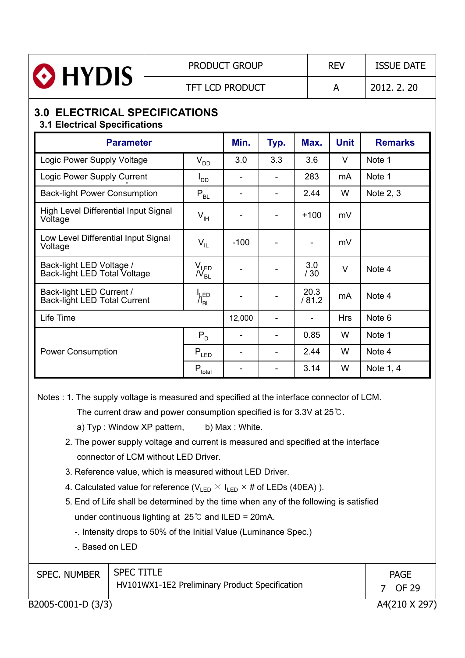

#### PRODUCT GROUP REV ISSUE DATE

TFT LCD PRODUCT A 2012. 2. 20

## **3.0 ELECTRICAL SPECIFICATIONS 3.1 Electrical Specifications**

| <b>Parameter</b>                                                |                                      | Min.   | Typ. | Max.                     | <b>Unit</b> | <b>Remarks</b> |
|-----------------------------------------------------------------|--------------------------------------|--------|------|--------------------------|-------------|----------------|
| Logic Power Supply Voltage                                      | $V_{DD}$                             | 3.0    | 3.3  | 3.6                      | V           | Note 1         |
| Logic Power Supply Current                                      | $I_{DD}$                             |        |      | 283                      | mA          | Note 1         |
| <b>Back-light Power Consumption</b>                             | $P_{BL}$                             |        |      | 2.44                     | W           | Note 2, 3      |
| High Level Differential Input Signal<br>Voltage                 | $V_{\text{IH}}$                      |        | -    | $+100$                   | mV          |                |
| Low Level Differential Input Signal<br>Voltage                  | $V_{IL}$                             | $-100$ |      |                          | mV          |                |
| Back-light LED Voltage /<br>Back-light LED Total Voltage        | $V_{\text{LED}}$<br>/V <sub>bl</sub> |        |      | 3.0<br>/30               | V           | Note 4         |
| Back-light LED Current /<br><b>Back-light LED Total Current</b> | $\frac{1}{\sqrt{2}}$ <sub>BL</sub>   |        |      | 20.3<br>/81.2            | mA          | Note 4         |
| Life Time                                                       |                                      | 12,000 | -    | $\overline{\phantom{a}}$ | <b>Hrs</b>  | Note 6         |
|                                                                 | $P_D$                                |        |      | 0.85                     | W           | Note 1         |
| <b>Power Consumption</b>                                        | $\mathsf{P}_{\mathsf{LED}}$          |        | -    | 2.44                     | W           | Note 4         |
|                                                                 | $P_{total}$                          |        |      | 3.14                     | W           | Note 1, 4      |

Notes : 1. The supply voltage is measured and specified at the interface connector of LCM.

The current draw and power consumption specified is for 3.3V at  $25^{\circ}$ .

a)  $Type: Window XP pattern,$  b) Max : White.

- 2. The power supply voltage and current is measured and specified at the interface connector of LCM without LED Driver.
- 3. Reference value, which is measured without LED Driver.
- 4. Calculated value for reference ( $V_{LED} \times I_{LED} \times #$  of LEDs (40EA)).
- 5. End of Life shall be determined by the time when any of the following is satisfied under continuous lighting at  $25^{\circ}$  and ILED = 20mA.

-. Intensity drops to 50% of the Initial Value (Luminance Spec.)

-. Based on LED

| <b>SPEC. NUMBER</b> | <b>SPEC TITLE</b><br>HV101WX1-1E2 Preliminary Product Specification | <b>PAGE</b><br>OF 29 |
|---------------------|---------------------------------------------------------------------|----------------------|
| B2005-C001-D (3/3)  |                                                                     | A4(210 X 297)        |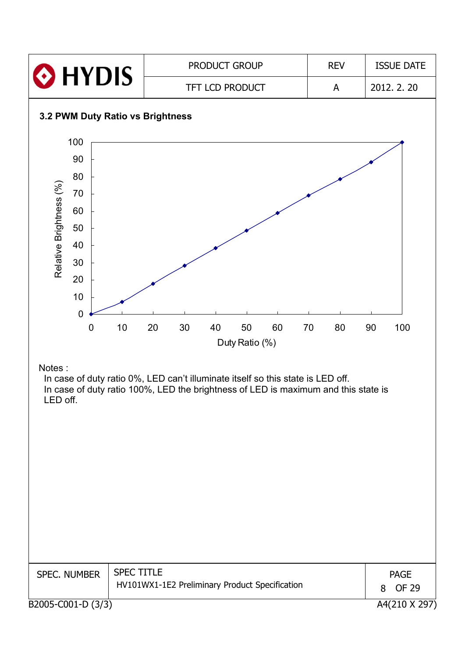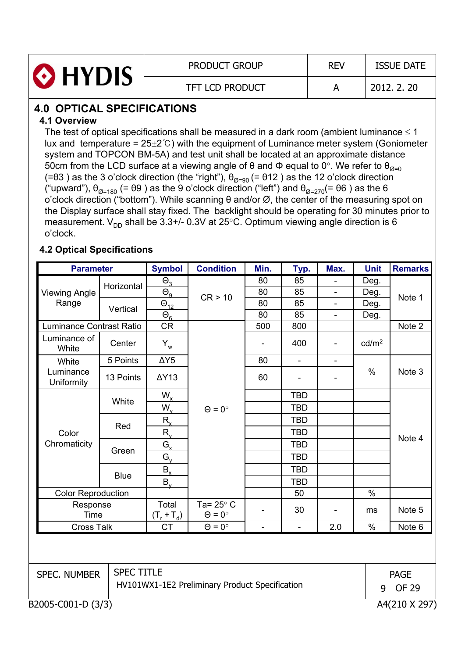| <b>O</b> HYDIS | <b>PRODUCT GROUP</b> | <b>REV</b> | <b>ISSUE DATE</b> |
|----------------|----------------------|------------|-------------------|
|                | TFT LCD PRODUCT      |            | 2012, 2, 20       |

# **4.0 OPTICAL SPECIFICATIONS**

#### **4.1 Overview**

The test of optical specifications shall be measured in a dark room (ambient luminance  $\leq 1$ lux and temperature =  $25\pm2$ °C) with the equipment of Luminance meter system (Goniometer system and TOPCON BM-5A) and test unit shall be located at an approximate distance 50cm from the LCD surface at a viewing angle of  $\theta$  and  $\Phi$  equal to 0°. We refer to  $\theta_{\alpha=0}$ (= $\theta$ 3) as the 3 o'clock direction (the "right"),  $\theta_{\text{Q=90}}$  (=  $\theta$ 12) as the 12 o'clock direction ("upward"),  $\theta_{\emptyset=180}$  (=  $\theta$ 9) as the 9 o'clock direction ("left") and  $\theta_{\emptyset=270}$ (=  $\theta$ 6) as the 6 o'clock direction ("bottom"). While scanning  $\theta$  and/or  $\varnothing$ , the center of the measuring spot on the Display surface shall stay fixed. The backlight should be operating for 30 minutes prior to measurement.  $V_{DD}$  shall be 3.3+/- 0.3V at 25°C. Optimum viewing angle direction is 6 o'clock.

### **4.2 Optical Specifications**

| <b>Parameter</b>                                                                           |             | <b>Symbol</b>          | <b>Condition</b>                       | Min.           | Typ.           | Max.                        | <b>Unit</b>       | <b>Remarks</b> |
|--------------------------------------------------------------------------------------------|-------------|------------------------|----------------------------------------|----------------|----------------|-----------------------------|-------------------|----------------|
|                                                                                            | Horizontal  | $\Theta$ <sub>3</sub>  |                                        | 80             | 85             |                             | Deg.              |                |
| <b>Viewing Angle</b>                                                                       |             | $\Theta_{9}$           | CR > 10                                | 80             | 85             |                             | Deg.              | Note 1         |
| Range                                                                                      | Vertical    | $\Theta_{12}$          |                                        | 80             | 85             |                             | Deg.              |                |
|                                                                                            |             | $\Theta_{6}$           |                                        | 80             | 85             | $\overline{\phantom{a}}$    | Deg.              |                |
| Luminance Contrast Ratio                                                                   |             | <b>CR</b>              |                                        | 500            | 800            |                             |                   | Note 2         |
| Luminance of<br>White                                                                      | Center      | $Y_w$                  |                                        | $\blacksquare$ | 400            | $\blacksquare$              | cd/m <sup>2</sup> |                |
| White                                                                                      | 5 Points    | $\Delta Y5$            |                                        | 80             | $\blacksquare$ | -                           |                   |                |
| Luminance<br>Uniformity                                                                    | 13 Points   | $\Delta Y$ 13          |                                        | 60             |                |                             | $\frac{0}{0}$     | Note 3         |
|                                                                                            |             | $W_{x}$                |                                        |                | <b>TBD</b>     |                             |                   |                |
|                                                                                            | White       | $W_{v}$                | $\Theta = 0^{\circ}$                   |                | <b>TBD</b>     |                             |                   |                |
|                                                                                            | Red         | $R_{x}$                |                                        |                | <b>TBD</b>     |                             |                   |                |
| Color                                                                                      |             | $R_{v}$                |                                        |                | <b>TBD</b>     |                             |                   |                |
| Chromaticity                                                                               |             | $G_{x}$                |                                        |                | <b>TBD</b>     |                             |                   | Note 4         |
|                                                                                            | Green       | $G_{v}$                |                                        |                | <b>TBD</b>     |                             |                   |                |
|                                                                                            |             | $B_{x}$                |                                        |                | <b>TBD</b>     |                             |                   |                |
|                                                                                            | <b>Blue</b> | $B_v$                  |                                        |                | <b>TBD</b>     |                             |                   |                |
| <b>Color Reproduction</b>                                                                  |             |                        |                                        |                | 50             |                             | $\%$              |                |
| Response<br>Time                                                                           |             | Total<br>$(T_r + T_d)$ | Ta= $25^\circ$ C<br>$\Theta = 0^\circ$ |                | 30             |                             | ms                | Note 5         |
| <b>Cross Talk</b>                                                                          |             | <b>CT</b>              | $\Theta = 0^{\circ}$                   | $\blacksquare$ | $\overline{a}$ | 2.0                         | %                 | Note 6         |
|                                                                                            |             |                        |                                        |                |                |                             |                   |                |
| <b>SPEC TITLE</b><br><b>SPEC. NUMBER</b><br>HV101WX1-1E2 Preliminary Product Specification |             |                        |                                        |                | 9              | <b>PAGE</b><br><b>OF 29</b> |                   |                |
| B2005-C001-D (3/3)                                                                         |             |                        |                                        |                |                |                             |                   | A4(210 X 297)  |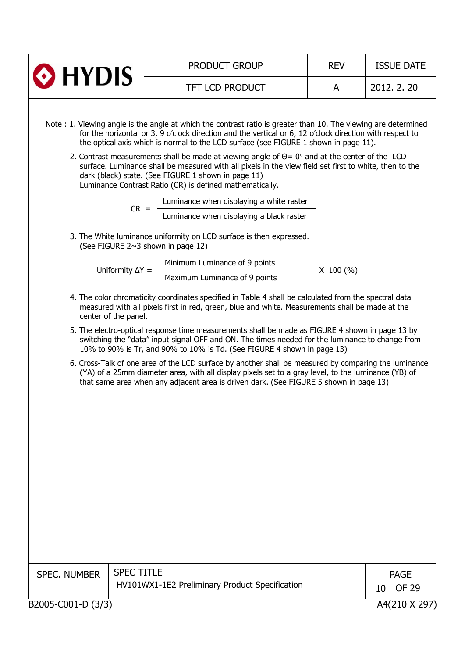| $\odot$ HYDIS                                                                                                                   |                                   | <b>PRODUCT GROUP</b>                                                                                                                                                                                                                                                                                                                                                                                                                                                                                                                                                                                                                                                                                                                                                                                                                                                                                                                                                                                                                                                                                                                                                                                                                                                                                                                                                                                                                                                                                                                                                                                                                                                                                                                     | <b>REV</b>  | <b>ISSUE DATE</b> |  |  |  |  |
|---------------------------------------------------------------------------------------------------------------------------------|-----------------------------------|------------------------------------------------------------------------------------------------------------------------------------------------------------------------------------------------------------------------------------------------------------------------------------------------------------------------------------------------------------------------------------------------------------------------------------------------------------------------------------------------------------------------------------------------------------------------------------------------------------------------------------------------------------------------------------------------------------------------------------------------------------------------------------------------------------------------------------------------------------------------------------------------------------------------------------------------------------------------------------------------------------------------------------------------------------------------------------------------------------------------------------------------------------------------------------------------------------------------------------------------------------------------------------------------------------------------------------------------------------------------------------------------------------------------------------------------------------------------------------------------------------------------------------------------------------------------------------------------------------------------------------------------------------------------------------------------------------------------------------------|-------------|-------------------|--|--|--|--|
|                                                                                                                                 |                                   | <b>TFT LCD PRODUCT</b>                                                                                                                                                                                                                                                                                                                                                                                                                                                                                                                                                                                                                                                                                                                                                                                                                                                                                                                                                                                                                                                                                                                                                                                                                                                                                                                                                                                                                                                                                                                                                                                                                                                                                                                   | A           | 2012, 2, 20       |  |  |  |  |
| center of the panel.                                                                                                            | $CR =$<br>Uniformity $\Delta Y =$ | Note: 1. Viewing angle is the angle at which the contrast ratio is greater than 10. The viewing are determined<br>for the horizontal or 3, 9 o'clock direction and the vertical or 6, 12 o'clock direction with respect to<br>the optical axis which is normal to the LCD surface (see FIGURE 1 shown in page 11).<br>2. Contrast measurements shall be made at viewing angle of $\Theta = 0^\circ$ and at the center of the LCD<br>surface. Luminance shall be measured with all pixels in the view field set first to white, then to the<br>dark (black) state. (See FIGURE 1 shown in page 11)<br>Luminance Contrast Ratio (CR) is defined mathematically.<br>Luminance when displaying a white raster<br>Luminance when displaying a black raster<br>3. The White luminance uniformity on LCD surface is then expressed.<br>(See FIGURE 2~3 shown in page 12)<br>Minimum Luminance of 9 points<br>Maximum Luminance of 9 points<br>4. The color chromaticity coordinates specified in Table 4 shall be calculated from the spectral data<br>measured with all pixels first in red, green, blue and white. Measurements shall be made at the<br>5. The electro-optical response time measurements shall be made as FIGURE 4 shown in page 13 by<br>switching the "data" input signal OFF and ON. The times needed for the luminance to change from<br>10% to 90% is Tr, and 90% to 10% is Td. (See FIGURE 4 shown in page 13)<br>6. Cross-Talk of one area of the LCD surface by another shall be measured by comparing the luminance<br>(YA) of a 25mm diameter area, with all display pixels set to a gray level, to the luminance (YB) of<br>that same area when any adjacent area is driven dark. (See FIGURE 5 shown in page 13) | $X$ 100 (%) |                   |  |  |  |  |
| <b>SPEC TITLE</b><br><b>SPEC. NUMBER</b><br><b>PAGE</b><br>HV101WX1-1E2 Preliminary Product Specification<br><b>OF 29</b><br>10 |                                   |                                                                                                                                                                                                                                                                                                                                                                                                                                                                                                                                                                                                                                                                                                                                                                                                                                                                                                                                                                                                                                                                                                                                                                                                                                                                                                                                                                                                                                                                                                                                                                                                                                                                                                                                          |             |                   |  |  |  |  |
| B2005-C001-D (3/3)                                                                                                              |                                   |                                                                                                                                                                                                                                                                                                                                                                                                                                                                                                                                                                                                                                                                                                                                                                                                                                                                                                                                                                                                                                                                                                                                                                                                                                                                                                                                                                                                                                                                                                                                                                                                                                                                                                                                          |             | A4(210 X 297)     |  |  |  |  |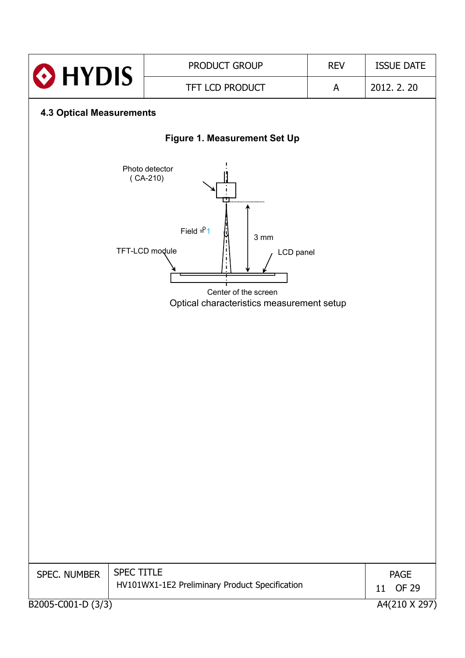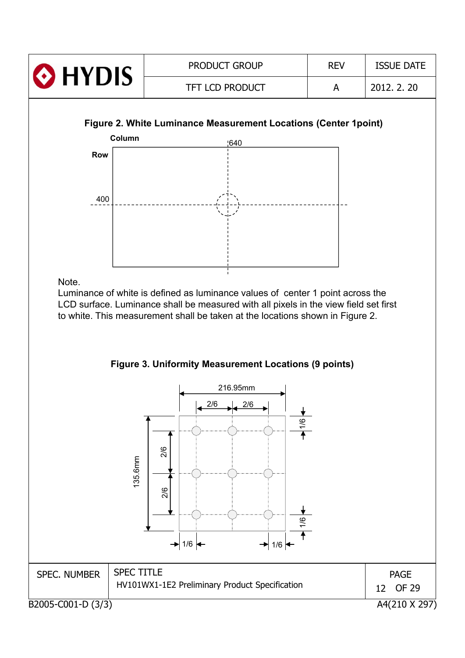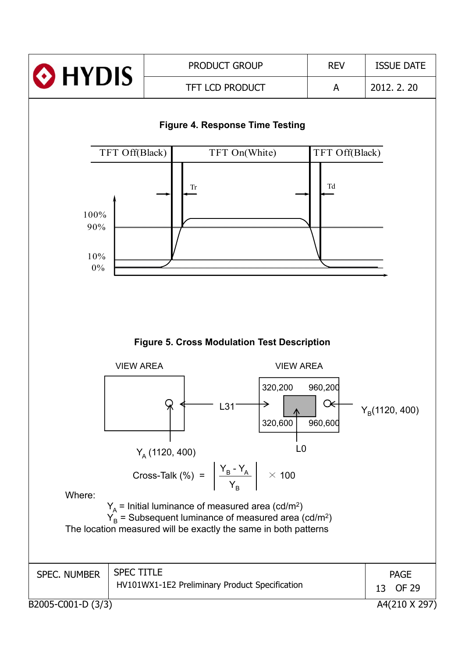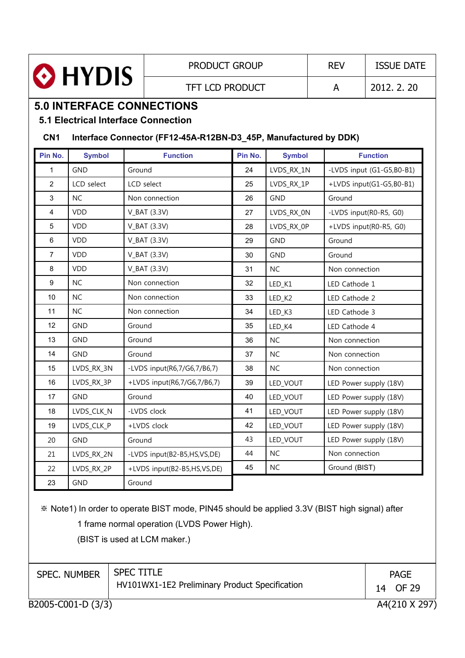

PRODUCT GROUP REV | ISSUE DATE

TFT LCD PRODUCT A 2012. 2. 20

# **5.0 INTERFACE CONNECTIONS**

**5.1 Electrical Interface Connection**

#### **CN1 Interface Connector (FF12-45A-R12BN-D3\_45P, Manufactured by DDK)**

| Pin No.                 | <b>Symbol</b> | <b>Function</b>             | Pin No. | <b>Symbol</b> | <b>Function</b>           |
|-------------------------|---------------|-----------------------------|---------|---------------|---------------------------|
| $\mathbf{1}$            | <b>GND</b>    | Ground                      | 24      | LVDS_RX_1N    | -LVDS input (G1-G5,B0-B1) |
| $\overline{2}$          | LCD select    | LCD select                  | 25      | LVDS_RX_1P    | +LVDS input(G1-G5,B0-B1)  |
| 3                       | <b>NC</b>     | Non connection              | 26      | <b>GND</b>    | Ground                    |
| $\overline{\mathbf{4}}$ | <b>VDD</b>    | V_BAT (3.3V)                | 27      | LVDS_RX_0N    | -LVDS input(R0-R5, G0)    |
| $\sqrt{5}$              | <b>VDD</b>    | $V_BAT(3.3V)$               | 28      | LVDS_RX_0P    | +LVDS input(R0-R5, G0)    |
| $\,6\,$                 | <b>VDD</b>    | $V_BAT(3.3V)$               | 29      | <b>GND</b>    | Ground                    |
| $\overline{7}$          | <b>VDD</b>    | $V_BAT(3.3V)$               | 30      | <b>GND</b>    | Ground                    |
| 8                       | <b>VDD</b>    | $V_BAT(3.3V)$               | 31      | <b>NC</b>     | Non connection            |
| $\boldsymbol{9}$        | <b>NC</b>     | Non connection              | 32      | LED_K1        | LED Cathode 1             |
| 10                      | <b>NC</b>     | Non connection              | 33      | LED_K2        | LED Cathode 2             |
| 11                      | <b>NC</b>     | Non connection              | 34      | LED_K3        | LED Cathode 3             |
| 12                      | <b>GND</b>    | Ground                      | 35      | LED_K4        | LED Cathode 4             |
| 13                      | <b>GND</b>    | Ground                      | 36      | <b>NC</b>     | Non connection            |
| 14                      | <b>GND</b>    | Ground                      | 37      | <b>NC</b>     | Non connection            |
| 15                      | LVDS_RX_3N    | -LVDS input(R6,7/G6,7/B6,7) | 38      | <b>NC</b>     | Non connection            |
| 16                      | LVDS_RX_3P    | +LVDS input(R6,7/G6,7/B6,7) | 39      | LED_VOUT      | LED Power supply (18V)    |
| 17                      | <b>GND</b>    | Ground                      | 40      | LED_VOUT      | LED Power supply (18V)    |
| 18                      | LVDS_CLK_N    | -LVDS clock                 | 41      | LED_VOUT      | LED Power supply (18V)    |
| 19                      | LVDS CLK P    | +LVDS clock                 | 42      | LED_VOUT      | LED Power supply (18V)    |
| 20                      | <b>GND</b>    | Ground                      | 43      | LED_VOUT      | LED Power supply (18V)    |
| 21                      | LVDS_RX_2N    | -LVDS input(B2-B5,HS,VS,DE) | 44      | <b>NC</b>     | Non connection            |
| 22                      | LVDS_RX_2P    | +LVDS input(B2-B5,HS,VS,DE) | 45      | <b>NC</b>     | Ground (BIST)             |
| 23                      | <b>GND</b>    | Ground                      |         |               |                           |

Note1) In order to operate BIST mode, PIN45 should be applied 3.3V (BIST high signal) after

1 frame normal operation (LVDS Power High).

(BIST is used at LCM maker.)

| <b>SPEC. NUMBER</b> | <b>SPEC TITLE</b><br>HV101WX1-1E2 Preliminary Product Specification | <b>PAGE</b><br>14 OF 29 |
|---------------------|---------------------------------------------------------------------|-------------------------|
| B2005-C001-D (3/3)  |                                                                     | A4(210 X 297)           |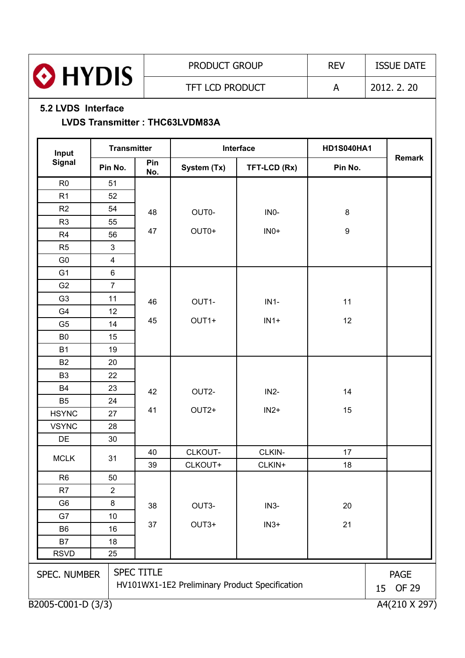

#### **5.2 LVDS Interface**

#### **LVDS Transmitter : THC63LVDM83A**

| Input              | <b>Transmitter</b> |                   |                                     | Interface                                      | <b>HD1S040HA1</b> |                                   |  |
|--------------------|--------------------|-------------------|-------------------------------------|------------------------------------------------|-------------------|-----------------------------------|--|
| <b>Signal</b>      | Pin No.            | Pin<br>No.        | System (Tx)                         | TFT-LCD (Rx)                                   | Pin No.           | <b>Remark</b>                     |  |
| R <sub>0</sub>     | 51                 |                   |                                     |                                                |                   |                                   |  |
| R <sub>1</sub>     | 52                 |                   |                                     |                                                |                   |                                   |  |
| R2                 | 54                 | 48                | OUT0-                               | IN <sub>0</sub> -                              | $\bf 8$           |                                   |  |
| R <sub>3</sub>     | 55                 |                   |                                     |                                                |                   |                                   |  |
| R4                 | 56                 | 47                | OUT0+<br>$INO+$<br>$\boldsymbol{9}$ |                                                |                   |                                   |  |
| R <sub>5</sub>     | 3                  |                   |                                     |                                                |                   |                                   |  |
| G <sub>0</sub>     | $\overline{4}$     |                   |                                     |                                                |                   |                                   |  |
| G <sub>1</sub>     | 6                  |                   |                                     |                                                |                   |                                   |  |
| G <sub>2</sub>     | $\overline{7}$     |                   |                                     |                                                |                   |                                   |  |
| G <sub>3</sub>     | 11                 | 46                | OUT1-                               | $IN1-$                                         | 11                |                                   |  |
| G4                 | 12                 |                   |                                     |                                                |                   |                                   |  |
| G <sub>5</sub>     | 14                 | 45                | OUT1+                               | $IN1+$                                         | 12                |                                   |  |
| B <sub>0</sub>     | 15                 |                   |                                     |                                                |                   |                                   |  |
| <b>B1</b>          | 19                 |                   |                                     |                                                |                   |                                   |  |
| <b>B2</b>          | 20                 |                   |                                     |                                                |                   |                                   |  |
| B <sub>3</sub>     | 22                 |                   |                                     |                                                |                   |                                   |  |
| B <sub>4</sub>     | 23                 | 42                | OUT2-                               | $IN2-$                                         | 14                |                                   |  |
| B <sub>5</sub>     | 24                 |                   |                                     |                                                |                   |                                   |  |
| <b>HSYNC</b>       | 27                 | 41                | OUT2+                               | $IN2+$                                         | 15                |                                   |  |
| <b>VSYNC</b>       | 28                 |                   |                                     |                                                |                   |                                   |  |
| DE                 | 30                 |                   |                                     |                                                |                   |                                   |  |
| <b>MCLK</b>        | 31                 | 40                | CLKOUT-                             | CLKIN-                                         | 17                |                                   |  |
|                    |                    | 39                | CLKOUT+                             | CLKIN+                                         | 18                |                                   |  |
| R <sub>6</sub>     | 50                 |                   |                                     |                                                |                   |                                   |  |
| R <sub>7</sub>     | 2                  |                   |                                     |                                                |                   |                                   |  |
| G <sub>6</sub>     | $\bf 8$            | 38                | OUT3-                               | $IN3-$                                         | 20                |                                   |  |
| G7                 | 10                 |                   |                                     |                                                |                   |                                   |  |
| B <sub>6</sub>     | 16                 | 37                | OUT3+                               | $IN3+$                                         | 21                |                                   |  |
| B7                 | 18                 |                   |                                     |                                                |                   |                                   |  |
| <b>RSVD</b>        | 25                 |                   |                                     |                                                |                   |                                   |  |
| SPEC. NUMBER       |                    | <b>SPEC TITLE</b> |                                     | HV101WX1-1E2 Preliminary Product Specification |                   | <b>PAGE</b><br><b>OF 29</b><br>15 |  |
| B2005-C001-D (3/3) |                    |                   |                                     |                                                |                   | A4(210 X 297)                     |  |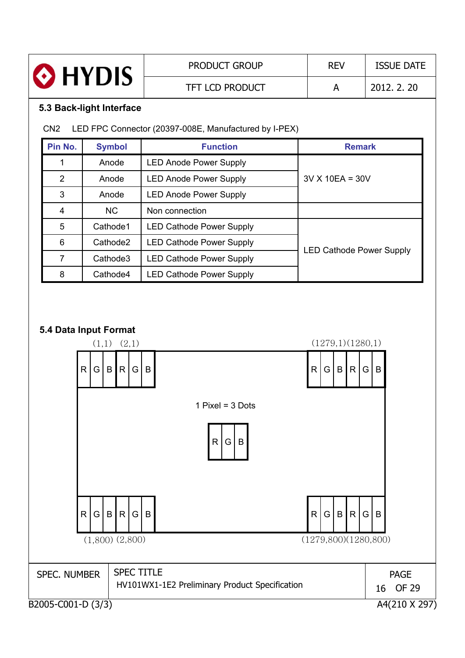| <b>O</b> HYDIS           | <b>PRODUCT GROUP</b>   | <b>REV</b> | <b>ISSUE DATE</b> |
|--------------------------|------------------------|------------|-------------------|
|                          | <b>TFT LCD PRODUCT</b> | А          | 2012. 2. 20       |
| 5.3 Back-light Interface |                        |            |                   |

### CN2 LED FPC Connector (20397-008E, Manufactured by I-PEX)

| Pin No. | <b>Symbol</b> | <b>Function</b>                 | <b>Remark</b>                   |  |  |  |  |
|---------|---------------|---------------------------------|---------------------------------|--|--|--|--|
|         | Anode         | <b>LED Anode Power Supply</b>   |                                 |  |  |  |  |
| 2       | Anode         | <b>LED Anode Power Supply</b>   | $3V X 10EA = 30V$               |  |  |  |  |
| 3       | Anode         | <b>LED Anode Power Supply</b>   |                                 |  |  |  |  |
| 4       | <b>NC</b>     | Non connection                  |                                 |  |  |  |  |
| 5       | Cathode1      | <b>LED Cathode Power Supply</b> |                                 |  |  |  |  |
| 6       | Cathode2      | <b>LED Cathode Power Supply</b> |                                 |  |  |  |  |
| 7       | Cathode3      | <b>LED Cathode Power Supply</b> | <b>LED Cathode Power Supply</b> |  |  |  |  |
| 8       | Cathode4      | <b>LED Cathode Power Supply</b> |                                 |  |  |  |  |

#### **5.4 Data Input Format**

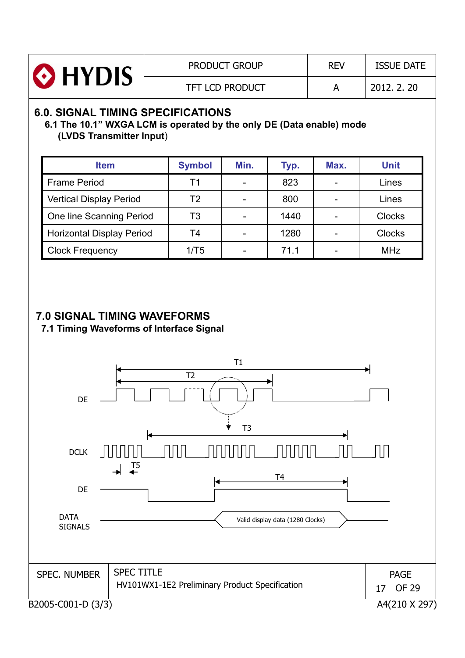

# **6.0. SIGNAL TIMING SPECIFICATIONS**

#### **6.1 The 10.1" WXGA LCM is operated by the only DE (Data enable) mode (LVDS Transmitter Input**)

| <b>Item</b>                      | <b>Symbol</b> | Min. | Typ. | Max. | <b>Unit</b>   |
|----------------------------------|---------------|------|------|------|---------------|
| <b>Frame Period</b>              | Τ1            |      | 823  |      | Lines         |
| <b>Vertical Display Period</b>   | T2            |      | 800  |      | Lines         |
| One line Scanning Period         | T3            |      | 1440 |      | <b>Clocks</b> |
| <b>Horizontal Display Period</b> | T4            |      | 1280 |      | <b>Clocks</b> |
| <b>Clock Frequency</b>           | 1/T5          |      | 71.1 |      | <b>MHz</b>    |

## **7.0 SIGNAL TIMING WAVEFORMS**

**7.1 Timing Waveforms of Interface Signal**

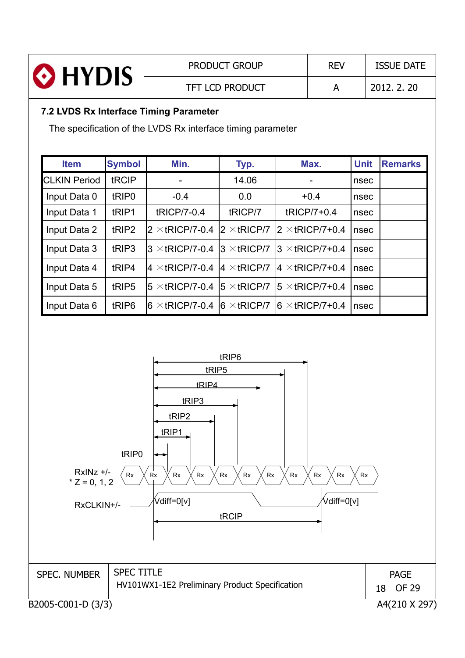|                                                                                                       |                   |                        | <b>PRODUCT GROUP</b>   |  | <b>REV</b>              |             | <b>ISSUE DATE</b> |  |
|-------------------------------------------------------------------------------------------------------|-------------------|------------------------|------------------------|--|-------------------------|-------------|-------------------|--|
| <b>O</b> HYDIS                                                                                        |                   |                        | <b>TFT LCD PRODUCT</b> |  | A                       |             | 2012, 2, 20       |  |
| 7.2 LVDS Rx Interface Timing Parameter<br>The specification of the LVDS Rx interface timing parameter |                   |                        |                        |  |                         |             |                   |  |
|                                                                                                       |                   |                        |                        |  |                         |             |                   |  |
| <b>Item</b>                                                                                           | <b>Symbol</b>     | Min.                   | Typ.                   |  | Max.                    | <b>Unit</b> | <b>Remarks</b>    |  |
| <b>CLKIN Period</b>                                                                                   | tRCIP             |                        | 14.06                  |  |                         | nsec        |                   |  |
| Input Data 0                                                                                          | tRIP <sub>0</sub> | $-0.4$                 | 0.0                    |  | $+0.4$                  | nsec        |                   |  |
| Input Data 1                                                                                          | tRIP1             | tRICP/7-0.4            | tRICP/7                |  | tRICP/7+0.4             | nsec        |                   |  |
| Input Data 2                                                                                          | tRIP2             | $2 \times$ tRICP/7-0.4 | $2 \times$ tRICP/7     |  | $2 \times$ tRICP/7+0.4  | nsec        |                   |  |
| Input Data 3                                                                                          | tRIP3             | $3 \times$ tRICP/7-0.4 | $3 \times$ tRICP/7     |  | $3 \times$ tRICP/7+0.4  | nsec        |                   |  |
| Input Data 4                                                                                          | tRIP4             | $4 \times$ tRICP/7-0.4 | $4 \times$ tRICP/7     |  | $4 \times$ tRICP/7+0.4  | nsec        |                   |  |
|                                                                                                       |                   |                        |                        |  |                         |             |                   |  |
| Input Data 5                                                                                          | tRIP5             | $5 \times$ tRICP/7-0.4 | $5 \times$ tRICP/7     |  | $15 \times$ tRICP/7+0.4 | nsec        |                   |  |

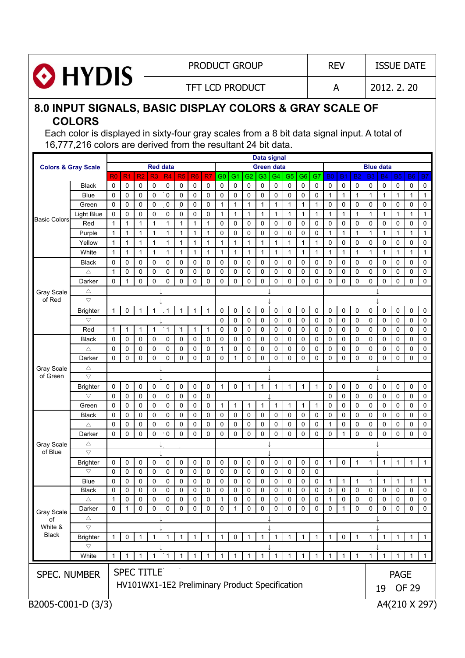

#### PRODUCT GROUP REV | ISSUE DATE

TFT LCD PRODUCT A 2012. 2. 20

### **8.0 INPUT SIGNALS, BASIC DISPLAY COLORS & GRAY SCALE OF COLORS**

Each color is displayed in sixty-four gray scales from a 8 bit data signal input. A total of 16,777,216 colors are derived from the resultant 24 bit data.

|                                |                    |                |                |                |                   |                |                |                |                                                |              |                |                | Data signal       |                |                |              |              |              |                |              |                  |           |                |                |                         |
|--------------------------------|--------------------|----------------|----------------|----------------|-------------------|----------------|----------------|----------------|------------------------------------------------|--------------|----------------|----------------|-------------------|----------------|----------------|--------------|--------------|--------------|----------------|--------------|------------------|-----------|----------------|----------------|-------------------------|
| <b>Colors &amp; Gray Scale</b> |                    |                |                |                | <b>Red data</b>   |                |                |                |                                                |              |                |                | <b>Green data</b> |                |                |              |              |              |                |              | <b>Blue data</b> |           |                |                |                         |
|                                |                    | R <sub>0</sub> | R <sub>1</sub> | R <sub>2</sub> | R3                | R <sub>4</sub> | R <sub>5</sub> | R <sub>6</sub> | R7                                             | G0           | G <sub>1</sub> | G2             | G <sub>3</sub>    | G <sub>4</sub> | G5             | G6           | G7           | <b>B0</b>    | B <sub>1</sub> | <b>B2</b>    | B <sub>3</sub>   | <b>B4</b> | <b>B5</b>      | <b>B6</b>      | <b>B7</b>               |
|                                | <b>Black</b>       | 0              | 0              | 0              | 0                 | 0              | 0              | 0              | 0                                              | 0            | 0              | 0              | $\mathbf 0$       | 0              | 0              | 0            | 0            | 0            | 0              | 0            | 0                | 0         | 0              | 0              | 0                       |
|                                | <b>Blue</b>        | $\Omega$       | 0              | 0              | 0                 | $\mathbf 0$    | 0              | 0              | 0                                              | 0            | 0              | 0              | $\mathbf 0$       | 0              | $\mathbf 0$    | 0            | 0            | $\mathbf{1}$ | $\mathbf{1}$   | 1            | $\mathbf{1}$     | 1         | $\mathbf{1}$   | 1              | $\mathbf{1}$            |
|                                | Green              | $\Omega$       | 0              | 0              | 0                 | 0              | $\mathbf{0}$   | 0              | 0                                              | $\mathbf{1}$ | $\mathbf{1}$   | $\mathbf{1}$   | $\mathbf{1}$      | $\mathbf{1}$   | $\mathbf{1}$   | 1            | $\mathbf{1}$ | 0            | 0              | 0            | 0                | 0         | 0              | $\mathbf 0$    | 0                       |
| <b>Basic Colors</b>            | <b>Light Blue</b>  | 0              | 0              | 0              | 0                 | 0              | 0              | $\mathbf 0$    | 0                                              | $\mathbf{1}$ | 1              | 1              | $\mathbf{1}$      | $\mathbf{1}$   | $\mathbf{1}$   | $\mathbf 1$  | $\mathbf{1}$ | 1            | $\mathbf{1}$   | 1            | $\mathbf{1}$     | 1         | $\mathbf{1}$   | 1              | $\mathbf{1}$            |
|                                | Red                | 1              | 1              | 1              | 1                 | $\mathbf{1}$   | $\mathbf 1$    | $\mathbf{1}$   | 1                                              | 0            | 0              | 0              | $\mathbf 0$       | 0              | 0              | 0            | $\mathbf 0$  | 0            | 0              | 0            | 0                | 0         | 0              | 0              | 0                       |
|                                | Purple             | $\mathbf{1}$   | 1              | 1              | 1                 | $\mathbf{1}$   | $\mathbf{1}$   | $\mathbf 1$    | 1                                              | 0            | 0              | 0              | $\mathbf 0$       | 0              | $\mathbf 0$    | 0            | 0            | 1            | 1              | 1            | $\mathbf{1}$     | 1         | 1              | 1              | $\mathbf{1}$            |
|                                | Yellow             | 1              | 1              | 1              | 1                 | $\mathbf{1}$   | 1              | $\mathbf{1}$   | 1                                              | 1            | 1              | 1              | $\mathbf{1}$      | $\mathbf{1}$   | $\mathbf{1}$   | $\mathbf{1}$ | $\mathbf{1}$ | 0            | 0              | 0            | 0                | 0         | 0              | 0              | 0                       |
|                                | White              | $\mathbf{1}$   | 1              | $\mathbf 1$    | 1                 | 1              | $\mathbf 1$    | $\mathbf{1}$   | 1                                              | $\mathbf{1}$ | 1              | 1              | $\mathbf{1}$      | 1              | $\mathbf{1}$   | $\mathbf 1$  | $\mathbf{1}$ | 1            | $\mathbf{1}$   | 1            | $\mathbf{1}$     | 1         | 1              | 1              | $\mathbf{1}$            |
|                                | <b>Black</b>       | 0              | 0              | 0              | 0                 | 0              | 0              | 0              | 0                                              | 0            | $\mathbf 0$    | 0              | $\mathbf 0$       | 0              | $\mathbf 0$    | 0            | $\mathbf 0$  | 0            | 0              | 0            | 0                | 0         | 0              | 0              | 0                       |
|                                | Δ                  | $\mathbf{1}$   | 0              | 0              | 0                 | $\mathbf 0$    | 0              | $\mathbf 0$    | 0                                              | 0            | $\mathbf 0$    | 0              | $\mathbf 0$       | 0              | $\mathbf 0$    | 0            | $\mathbf 0$  | 0            | $\mathbf 0$    | 0            | 0                | 0         | $\mathbf 0$    | 0              | 0                       |
|                                | Darker             | 0              | 1              | $\mathbf 0$    | 0                 | 0              | 0              | 0              | $\mathbf 0$                                    | $\mathbf 0$  | $\mathbf 0$    | 0              | $\mathbf 0$       | 0              | $\mathbf 0$    | 0            | $\mathbf 0$  | 0            | 0              | 0            | 0                | 0         | 0              | 0              | 0                       |
| Gray Scale                     | Δ                  |                |                |                |                   |                |                |                |                                                |              |                |                |                   |                |                |              |              |              |                |              |                  |           |                |                |                         |
| of Red                         | $\triangledown$    |                |                |                |                   |                |                |                |                                                |              |                |                |                   |                |                |              |              |              |                |              |                  |           |                |                |                         |
|                                | <b>Brighter</b>    | 1              | 0              | $\mathbf{1}$   | 1                 | $\overline{1}$ | 1              | 1              | 1                                              | 0            | 0              | 0              | 0                 | 0              | 0              | 0            | 0            | 0            | 0              | 0            | 0                | 0         | 0              | 0              | 0                       |
|                                | $\bigtriangledown$ |                |                |                |                   |                |                |                |                                                | $\mathbf 0$  | 0              | 0              | $\mathbf 0$       | 0              | 0              | 0            | $\mathbf 0$  | 0            | $\mathbf 0$    | 0            | 0                | 0         | $\mathbf 0$    | 0              | 0                       |
|                                | Red                | $\mathbf{1}$   | 1              | 1              | 1                 | $\mathbf{1}$   | 1              | $\mathbf{1}$   | 1                                              | 0            | 0              | 0              | 0                 | 0              | 0              | 0            | 0            | 0            | $\mathbf 0$    | 0            | 0                | 0         | 0              | 0              | 0                       |
|                                | Black              | 0              | 0              | 0              | 0                 | 0              | 0              | 0              | 0                                              | 0            | 0              | 0              | $\mathbf 0$       | 0              | $\mathbf 0$    | 0            | 0            | 0            | 0              | 0            | 0                | 0         | 0              | $\mathbf 0$    | 0                       |
|                                | Δ                  | $\mathbf 0$    | 0              | 0              | 0                 | 0              | 0              | $\mathbf 0$    | 0                                              | 1            | 0              | $\mathbf 0$    | $\mathbf 0$       | 0              | $\mathbf 0$    | 0            | 0            | 0            | 0              | 0            | 0                | 0         | 0              | $\mathbf 0$    | 0                       |
|                                | Darker             | $\Omega$       | 0              | 0              | 0                 | $\mathbf 0$    | 0              | $\mathbf 0$    | 0                                              | 0            | 1              | 0              | $\mathbf 0$       | 0              | $\mathbf 0$    | 0            | $\mathbf 0$  | 0            | 0              | 0            | 0                | 0         | 0              | $\mathbf 0$    | 0                       |
| <b>Gray Scale</b>              | Δ                  |                |                |                |                   |                |                |                |                                                |              |                |                |                   |                |                |              |              |              |                |              |                  |           |                |                |                         |
| of Green                       | $\bigtriangledown$ |                |                |                |                   |                |                |                |                                                |              |                |                |                   |                |                |              |              |              |                |              |                  |           |                |                |                         |
|                                | <b>Brighter</b>    | 0              | 0              | 0              | 0                 | 0              | 0              | 0              | 0                                              | $\mathbf{1}$ | 0              | $\mathbf{1}$   | $\mathbf{1}$      | $\mathbf{1}$   | $\mathbf{1}$   | 1            | $\mathbf{1}$ | 0            | $\mathbf 0$    | 0            | 0                | 0         | 0              | 0              | 0                       |
|                                | $\bigtriangledown$ | $\Omega$       | 0              | 0              | 0                 | $\mathbf 0$    | 0              | 0              | 0                                              |              |                |                |                   |                |                |              |              | 0            | 0              | 0            | 0                | 0         | $\mathbf 0$    | 0              | 0                       |
|                                | Green              | $\Omega$       | 0              | 0              | 0                 | $\mathbf 0$    | 0              | 0              | 0                                              | 1            | 1              | 1              | 1                 | 1              | $\mathbf{1}$   | 1            | $\mathbf{1}$ | 0            | 0              | 0            | 0                | 0         | 0              | 0              | 0                       |
|                                | <b>Black</b>       | $\Omega$       | 0              | 0              | 0                 | 0              | 0              | 0              | 0                                              | 0            | 0              | 0              | $\mathbf 0$       | 0              | $\mathbf 0$    | 0            | $\mathbf 0$  | 0            | 0              | 0            | 0                | 0         | 0              | 0              | 0                       |
|                                | Δ                  | 0              | 0              | 0              | 0                 | 0              | 0              | 0              | 0                                              | 0            | 0              | 0              | $\mathbf 0$       | 0              | $\mathbf 0$    | 0            | 0            | 1            | 0              | 0            | 0                | 0         | 0              | 0              | 0                       |
|                                | Darker             | 0              | 0              | 0              | 0                 | $\mathbf 0$    | $\Omega$       | 0              | 0                                              | 0            | 0              | 0              | $\mathbf 0$       | 0              | $\mathbf 0$    | 0            | 0            | 0            | 1              | 0            | 0                | 0         | $\Omega$       | 0              | 0                       |
| <b>Gray Scale</b>              | Δ                  |                |                |                |                   |                |                |                |                                                |              |                |                |                   |                |                |              |              |              |                |              |                  |           |                |                |                         |
| of Blue                        | $\bigtriangledown$ |                |                |                |                   |                |                |                |                                                |              |                |                |                   |                |                |              |              |              |                |              |                  |           |                |                |                         |
|                                | <b>Brighter</b>    | 0              | 0              | 0              | 0                 | 0              | 0              | $\mathbf 0$    | 0                                              | 0            | 0              | 0              | $\mathbf 0$       | 0              | 0              | 0            | 0            | 1            | 0              | $\mathbf{1}$ | $\mathbf{1}$     | 1         | 1              | 1              | $\mathbf{1}$            |
|                                | $\bigtriangledown$ | $\Omega$       | 0              | 0              | 0                 | $\mathbf 0$    | 0              | 0              | 0                                              | 0            | 0              | 0              | $\mathbf 0$       | 0              | 0              | 0            | 0            |              |                |              |                  |           |                |                |                         |
|                                | <b>Blue</b>        | $\Omega$       | 0              | 0              | 0                 | 0              | 0              | 0              | 0                                              | 0            | 0              | 0              | 0                 | 0              | 0              | 0            | $\mathbf 0$  | 1            | 1              | 1            | $\mathbf{1}$     | 1         | 1              | 1              | $\mathbf{1}$            |
|                                | Black              | $\mathbf 0$    | 0              | 0              | 0                 | $\mathbf 0$    | 0              | 0              | 0                                              | 0            | 0              | 0              | $\mathbf 0$       | 0              | $\mathbf 0$    | 0            | 0            | 0            | 0              | 0            | 0                | 0         | $\mathbf 0$    | 0              | 0                       |
|                                | Δ                  | 1              | 0              | 0              | 0                 | 0              | 0              | 0              | 0                                              | 1            | 0              | 0              | 0                 | 0              | 0              | 0            | 0            | 1            | 0              | 0            | 0                | 0         | 0              | 0              | 0                       |
| Gray Scale                     | Darker             | 0              | $\mathbf{1}$   | $\mathbf 0$    | $\mathbf 0$       | $0-1$          | $\overline{0}$ | $0 \mid 0$     |                                                | $0-1$        |                | $1 \mid 0$     | $\mathbf 0$       | $\mathbf{0}$   | 0 <sub>1</sub> | $0 \mid 0$   |              | 0            | $1 \mid$       | $\mathbf 0$  | 0                | 0         | 0 <sub>1</sub> | $\overline{0}$ | $\overline{\mathbf{0}}$ |
| of                             | Δ                  |                |                |                |                   |                |                |                |                                                |              |                |                |                   |                |                |              |              |              |                |              |                  |           |                |                |                         |
| White &                        | $\bigtriangledown$ |                |                |                |                   |                |                |                |                                                |              |                |                |                   |                |                |              |              |              |                |              |                  |           |                |                |                         |
| <b>Black</b>                   | <b>Brighter</b>    | 1              | 0              | 1              | 1                 | 1              | 1              | 1              | 1                                              | 1            | 0              | 1              | 1                 | 1              | 1              |              | 1            | 1            | 0              |              | 1                | 1         | 1              | 1              | 1                       |
|                                | $\bigtriangledown$ |                |                |                |                   |                |                |                |                                                |              |                |                |                   |                |                |              |              |              |                |              |                  |           |                |                |                         |
|                                | White              | 1              | 1              | 1              |                   | $^{\circ}$     | $\mathbf{1}$   | $\mathbf{1}$   | $\mathbf{1}$                                   | $\mathbf{1}$ | $\overline{1}$ | $\overline{1}$ | $\overline{1}$    | $\mathbf{1}$   | $\mathbf{1}$   | 1            | $\mathbf{1}$ | 1            | $\mathbf{1}$   | 1            | $\mathbf 1$      | 1         | $\mathbf{1}$   | $\mathbf{1}$   | $\mathbf{1}$            |
|                                |                    |                |                |                | <b>SPEC TITLE</b> |                |                |                |                                                |              |                |                |                   |                |                |              |              |              |                |              |                  |           |                |                |                         |
| <b>SPEC. NUMBER</b>            |                    |                |                |                |                   |                |                |                |                                                |              |                |                |                   |                |                |              |              |              |                |              |                  |           | <b>PAGE</b>    |                |                         |
|                                |                    |                |                |                |                   |                |                |                | HV101WX1-1E2 Preliminary Product Specification |              |                |                |                   |                |                |              |              |              |                |              |                  | 19        |                | <b>OF 29</b>   |                         |
|                                |                    |                |                |                |                   |                |                |                |                                                |              |                |                |                   |                |                |              |              |              |                |              |                  |           |                |                |                         |
| B2005-C001-D (3/3)             |                    |                |                |                |                   |                |                |                |                                                |              |                |                |                   |                |                |              |              |              |                |              |                  |           |                |                | A4(210 X 297)           |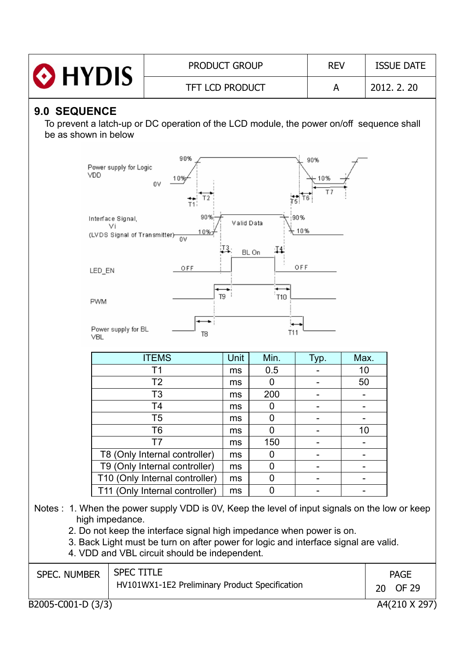|                                                                                                                          | <b>PRODUCT GROUP</b>                                                                                                                                                                                                                                                                                                                             |      |                | <b>REV</b>               |                          | <b>ISSUE DATE</b> |  |  |
|--------------------------------------------------------------------------------------------------------------------------|--------------------------------------------------------------------------------------------------------------------------------------------------------------------------------------------------------------------------------------------------------------------------------------------------------------------------------------------------|------|----------------|--------------------------|--------------------------|-------------------|--|--|
| > HYDIS                                                                                                                  | <b>TFT LCD PRODUCT</b><br>A                                                                                                                                                                                                                                                                                                                      |      |                |                          |                          |                   |  |  |
| <b>9.0 SEQUENCE</b><br>be as shown in below                                                                              | To prevent a latch-up or DC operation of the LCD module, the power on/off sequence shall                                                                                                                                                                                                                                                         |      |                |                          |                          |                   |  |  |
| 90%<br>90%<br>Power supply for Logic<br>VDD<br>10%<br>10%<br>0V<br>T 7<br>T <sub>2</sub><br>T1                           |                                                                                                                                                                                                                                                                                                                                                  |      |                |                          |                          |                   |  |  |
| 90%<br>90%<br>Interface Signal,<br>Valid Data<br>Vi<br>10%<br>10%<br>(LVDS Signal of Transmitter)-<br>0V<br>T4.<br>BL On |                                                                                                                                                                                                                                                                                                                                                  |      |                |                          |                          |                   |  |  |
| LED_EN                                                                                                                   | OFF<br>OFF                                                                                                                                                                                                                                                                                                                                       |      |                |                          |                          |                   |  |  |
| .<br>T9<br><b>T10</b><br><b>PWM</b>                                                                                      |                                                                                                                                                                                                                                                                                                                                                  |      |                |                          |                          |                   |  |  |
| Power supply for BL<br><b>VBL</b>                                                                                        | T <sub>8</sub>                                                                                                                                                                                                                                                                                                                                   |      | T11            |                          |                          |                   |  |  |
|                                                                                                                          | <b>ITEMS</b>                                                                                                                                                                                                                                                                                                                                     | Unit | Min.           | <u>Тур.</u>              | Max.                     |                   |  |  |
|                                                                                                                          | T <sub>1</sub>                                                                                                                                                                                                                                                                                                                                   | ms   | 0.5            | $\overline{\phantom{a}}$ | 10                       |                   |  |  |
|                                                                                                                          | T <sub>2</sub>                                                                                                                                                                                                                                                                                                                                   | ms   | $\mathbf 0$    | $\blacksquare$           | 50                       |                   |  |  |
|                                                                                                                          | T <sub>3</sub>                                                                                                                                                                                                                                                                                                                                   | ms   | 200            | $\blacksquare$           | $\overline{\phantom{0}}$ |                   |  |  |
|                                                                                                                          | T4                                                                                                                                                                                                                                                                                                                                               | ms   | 0              |                          |                          |                   |  |  |
|                                                                                                                          | T <sub>5</sub>                                                                                                                                                                                                                                                                                                                                   | ms   | $\overline{0}$ |                          |                          |                   |  |  |
|                                                                                                                          |                                                                                                                                                                                                                                                                                                                                                  |      |                |                          |                          |                   |  |  |
|                                                                                                                          | T6                                                                                                                                                                                                                                                                                                                                               | ms   | 0              |                          | 10                       |                   |  |  |
|                                                                                                                          | T <sub>7</sub>                                                                                                                                                                                                                                                                                                                                   | ms   | 150            |                          |                          |                   |  |  |
|                                                                                                                          | T8 (Only Internal controller)                                                                                                                                                                                                                                                                                                                    | ms   | 0              |                          |                          |                   |  |  |
|                                                                                                                          | T9 (Only Internal controller)                                                                                                                                                                                                                                                                                                                    | ms   | 0              |                          |                          |                   |  |  |
|                                                                                                                          | T10 (Only Internal controller)                                                                                                                                                                                                                                                                                                                   | ms   | 0              |                          |                          |                   |  |  |
| high impedance.                                                                                                          | T11 (Only Internal controller)<br>Notes : 1. When the power supply VDD is 0V, Keep the level of input signals on the low or keep<br>2. Do not keep the interface signal high impedance when power is on.<br>3. Back Light must be turn on after power for logic and interface signal are valid.<br>4. VDD and VBL circuit should be independent. | ms   | $\overline{0}$ |                          |                          |                   |  |  |

 $\frac{1}{\text{B2005-C001-D} (3/3)}$ 

 $A4(210 \times 297)$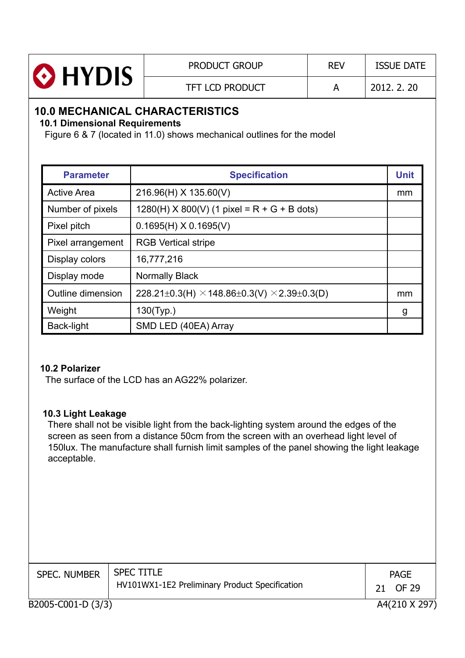| <b>O</b> HYDIS | <b>PRODUCT GROUP</b>   | <b>REV</b> | <b>ISSUE DATE</b> |
|----------------|------------------------|------------|-------------------|
|                | <b>TFT LCD PRODUCT</b> |            | 2012, 2, 20       |

## **10.0 MECHANICAL CHARACTERISTICS**

**10.1 Dimensional Requirements**

Figure 6 & 7 (located in 11.0) shows mechanical outlines for the model

| <b>Parameter</b>   | <b>Specification</b>                                      | <b>Unit</b> |
|--------------------|-----------------------------------------------------------|-------------|
| <b>Active Area</b> | 216.96(H) X 135.60(V)                                     | mm          |
| Number of pixels   | $1280(H)$ X 800(V) (1 pixel = R + G + B dots)             |             |
| Pixel pitch        | $0.1695(H)$ X 0.1695(V)                                   |             |
| Pixel arrangement  | <b>RGB Vertical stripe</b>                                |             |
| Display colors     | 16,777,216                                                |             |
| Display mode       | <b>Normally Black</b>                                     |             |
| Outline dimension  | 228.21±0.3(H) $\times$ 148.86±0.3(V) $\times$ 2.39±0.3(D) | mm          |
| Weight             | 130(Typ.)                                                 | g           |
| Back-light         | SMD LED (40EA) Array                                      |             |

#### **10.2 Polarizer**

The surface of the LCD has an AG22% polarizer.

#### **10.3 Light Leakage**

There shall not be visible light from the back-lighting system around the edges of the screen as seen from a distance 50cm from the screen with an overhead light level of 150lux. The manufacture shall furnish limit samples of the panel showing the light leakage acceptable.

| <b>SPEC. NUMBER</b> | <b>SPEC TITLE</b><br>HV101WX1-1E2 Preliminary Product Specification | 21 | <b>PAGE</b><br>OF 29 |
|---------------------|---------------------------------------------------------------------|----|----------------------|
| B2005-C001-D (3/3)  |                                                                     |    | A4(210 X 297)        |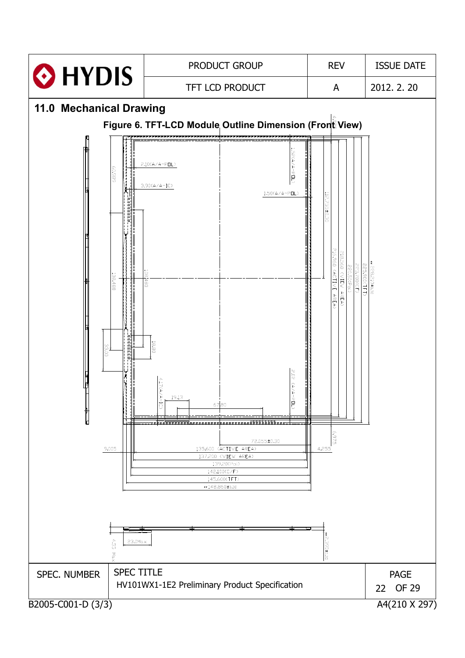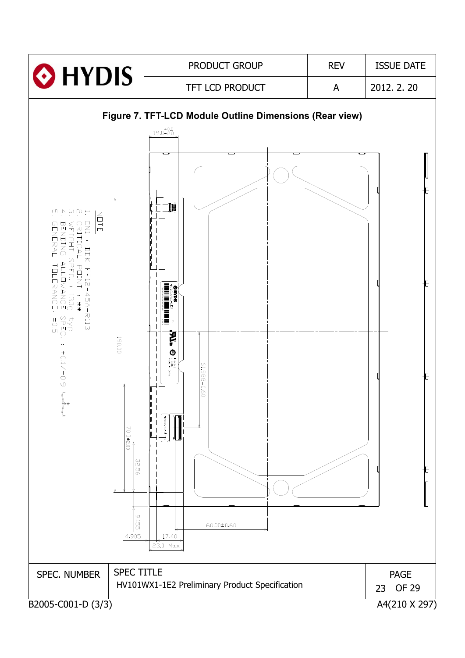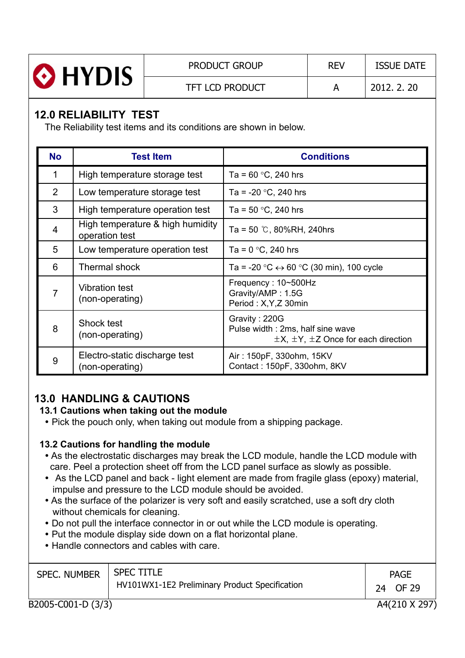|                | <b>PRODUCT GROUP</b>   | <b>REV</b> | <b>ISSUE DATE</b> |
|----------------|------------------------|------------|-------------------|
| <b>O</b> HYDIS | <b>TFT LCD PRODUCT</b> |            | 2012, 2, 20       |

# **12.0 RELIABILITY TEST**

The Reliability test items and its conditions are shown in below.

| <b>No</b>      | <b>Test Item</b>                                   | <b>Conditions</b>                                                                                      |
|----------------|----------------------------------------------------|--------------------------------------------------------------------------------------------------------|
| 1              | High temperature storage test                      | Ta = $60 °C$ , 240 hrs                                                                                 |
| $\overline{2}$ | Low temperature storage test                       | Ta = $-20$ °C, 240 hrs                                                                                 |
| 3              | High temperature operation test                    | Ta = $50 °C$ , 240 hrs                                                                                 |
| 4              | High temperature & high humidity<br>operation test | Ta = 50 $\degree$ C, 80%RH, 240hrs                                                                     |
| 5              | Low temperature operation test                     | Ta = $0 °C$ , 240 hrs                                                                                  |
| 6              | <b>Thermal shock</b>                               | Ta = -20 °C $\leftrightarrow$ 60 °C (30 min), 100 cycle                                                |
| 7              | <b>Vibration test</b><br>(non-operating)           | Frequency: 10~500Hz<br>Gravity/AMP: 1.5G<br>Period: X, Y, Z 30min                                      |
| 8              | Shock test<br>(non-operating)                      | Gravity: 220G<br>Pulse width: 2ms, half sine wave<br>$\pm$ X, $\pm$ Y, $\pm$ Z Once for each direction |
| 9              | Electro-static discharge test<br>(non-operating)   | Air: 150pF, 330ohm, 15KV<br>Contact: 150pF, 330ohm, 8KV                                                |

# **13.0 HANDLING & CAUTIONS**

#### **13.1 Cautions when taking out the module**

• Pick the pouch only, when taking out module from a shipping package.

#### **13.2 Cautions for handling the module**

- As the electrostatic discharges may break the LCD module, handle the LCD module with care. Peel a protection sheet off from the LCD panel surface as slowly as possible.
- As the LCD panel and back light element are made from fragile glass (epoxy) material, impulse and pressure to the LCD module should be avoided.
- As the surface of the polarizer is very soft and easily scratched, use a soft dry cloth without chemicals for cleaning.
- Do not pull the interface connector in or out while the LCD module is operating.
- Put the module display side down on a flat horizontal plane.
- Handle connectors and cables with care.

| <b>SPEC. NUMBER</b> | <b>SPEC TITLE</b><br>HV101WX1-1E2 Preliminary Product Specification | <b>PAGE</b><br>24 OF 29 |
|---------------------|---------------------------------------------------------------------|-------------------------|
| B2005-C001-D (3/3)  |                                                                     | A4(210 X 297)           |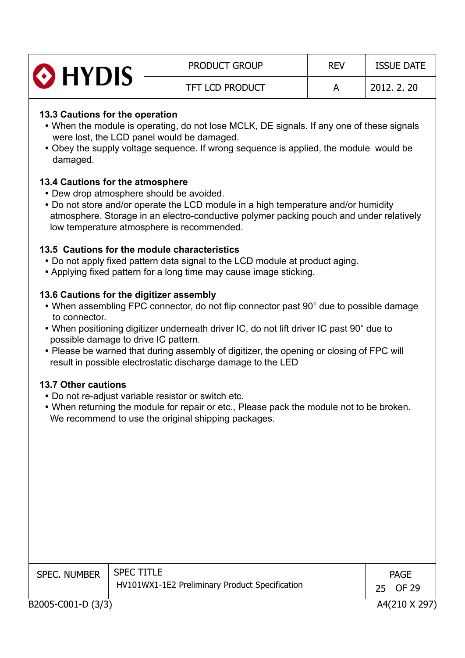| <b>O</b> HYDIS | <b>PRODUCT GROUP</b>   | <b>REV</b> | <b>ISSUE DATE</b> |
|----------------|------------------------|------------|-------------------|
|                | <b>TFT LCD PRODUCT</b> |            | 2012, 2, 20       |

#### **13.3 Cautions for the operation**

- When the module is operating, do not lose MCLK, DE signals. If any one of these signals were lost, the LCD panel would be damaged.
- Obey the supply voltage sequence. If wrong sequence is applied, the module would be damaged.

#### **13.4 Cautions for the atmosphere**

- Dew drop atmosphere should be avoided.
- Do not store and/or operate the LCD module in a high temperature and/or humidity atmosphere. Storage in an electro-conductive polymer packing pouch and under relatively low temperature atmosphere is recommended.

#### **13.5 Cautions for the module characteristics**

- Do not apply fixed pattern data signal to the LCD module at product aging.
- Applying fixed pattern for a long time may cause image sticking.

#### **13.6 Cautions for the digitizer assembly**

- When assembling FPC connector, do not flip connector past 90° due to possible damage to connector.
- When positioning digitizer underneath driver IC, do not lift driver IC past 90° due to possible damage to drive IC pattern.
- Please be warned that during assembly of digitizer, the opening or closing of FPC will result in possible electrostatic discharge damage to the LED

#### **13.7 Other cautions**

- Do not re-adiust variable resistor or switch etc.
- When returning the module for repair or etc., Please pack the module not to be broken. We recommend to use the original shipping packages.

| <b>SPEC. NUMBER</b> | <b>SPEC TITLE</b>                              |    | <b>PAGE</b>   |
|---------------------|------------------------------------------------|----|---------------|
|                     | HV101WX1-1E2 Preliminary Product Specification | 25 | OF 29         |
| B2005-C001-D (3/3)  |                                                |    | A4(210 X 297) |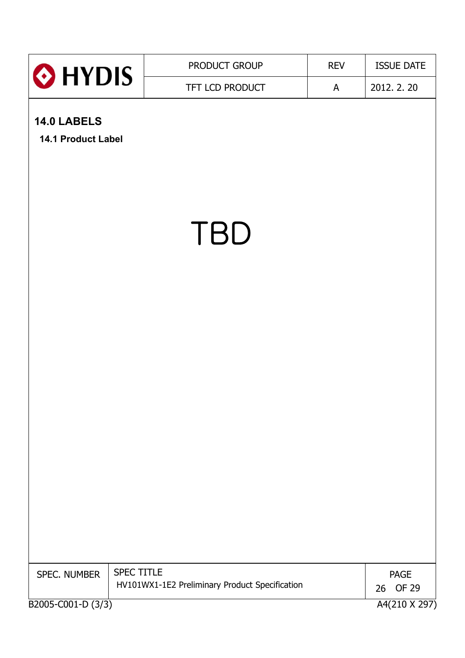|                                    | PRODUCT GROUP                                                | <b>REV</b> | <b>ISSUE DATE</b>                           |
|------------------------------------|--------------------------------------------------------------|------------|---------------------------------------------|
| HYDIS <sup>®</sup>                 | TFT LCD PRODUCT                                              | A          | 2012. 2. 20                                 |
| 14.0 LABELS<br>14.1 Product Label  |                                                              |            |                                             |
|                                    | <b>TBD</b>                                                   |            |                                             |
|                                    |                                                              |            |                                             |
|                                    |                                                              |            |                                             |
|                                    |                                                              |            |                                             |
| SPEC. NUMBER<br>B2005-C001-D (3/3) | SPEC TITLE<br>HV101WX1-1E2 Preliminary Product Specification |            | <b>PAGE</b><br>OF 29<br>26<br>A4(210 X 297) |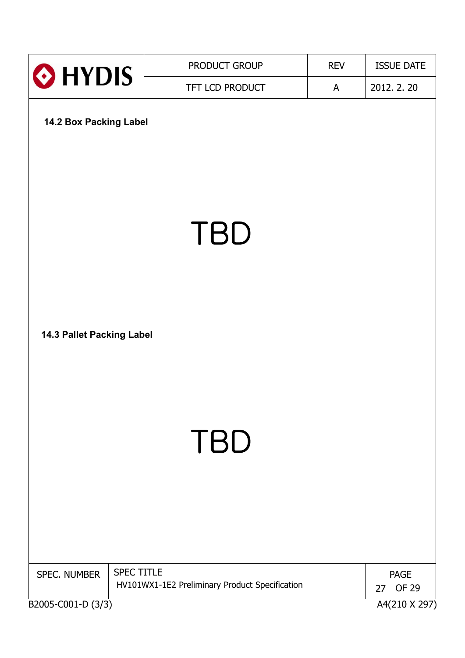| HYDIS <sup>®</sup>                 | PRODUCT GROUP                                                       | <b>REV</b> | <b>ISSUE DATE</b>                                  |
|------------------------------------|---------------------------------------------------------------------|------------|----------------------------------------------------|
|                                    | TFT LCD PRODUCT                                                     | A          | 2012. 2. 20                                        |
| 14.2 Box Packing Label             |                                                                     |            |                                                    |
|                                    | <b>TBD</b>                                                          |            |                                                    |
| 14.3 Pallet Packing Label          |                                                                     |            |                                                    |
|                                    | <b>TBD</b>                                                          |            |                                                    |
| SPEC. NUMBER<br>B2005-C001-D (3/3) | <b>SPEC TITLE</b><br>HV101WX1-1E2 Preliminary Product Specification |            | <b>PAGE</b><br><b>OF 29</b><br>27<br>A4(210 X 297) |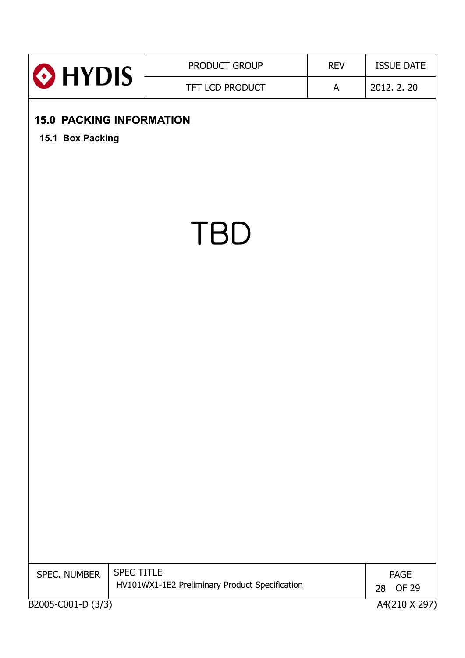|                                                     | PRODUCT GROUP                                                | <b>REV</b> | <b>ISSUE DATE</b>          |
|-----------------------------------------------------|--------------------------------------------------------------|------------|----------------------------|
| HYDIS <sup>®</sup>                                  | TFT LCD PRODUCT                                              | A          | 2012. 2. 20                |
| <b>15.0 PACKING INFORMATION</b><br>15.1 Box Packing |                                                              |            |                            |
|                                                     | <b>TBD</b>                                                   |            |                            |
|                                                     |                                                              |            |                            |
|                                                     |                                                              |            |                            |
|                                                     |                                                              |            |                            |
| SPEC. NUMBER                                        | SPEC TITLE<br>HV101WX1-1E2 Preliminary Product Specification |            | <b>PAGE</b><br>OF 29<br>28 |
| B2005-C001-D (3/3)                                  |                                                              |            | A4(210 X 297)              |